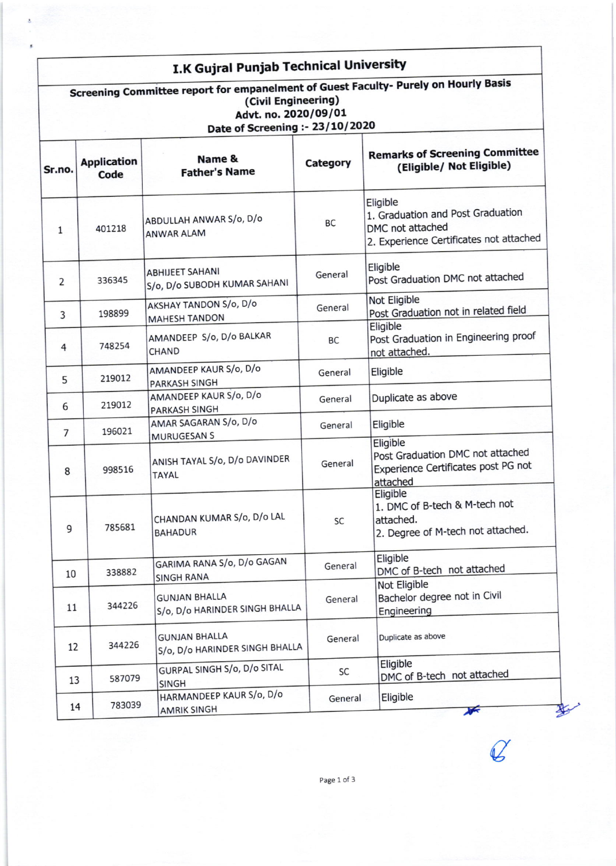## I.K Gujral Punjab Technical University

| Screening Committee report for empanelment of Guest Faculty- Purely on Hourly Basis<br>(Civil Engineering)<br>Advt. no. 2020/09/01<br>Date of Screening :- 23/10/2020 |                            |                                                        |           |                                                                                                              |  |  |  |
|-----------------------------------------------------------------------------------------------------------------------------------------------------------------------|----------------------------|--------------------------------------------------------|-----------|--------------------------------------------------------------------------------------------------------------|--|--|--|
| Sr.no.                                                                                                                                                                | <b>Application</b><br>Code | Name &<br><b>Father's Name</b>                         | Category  | <b>Remarks of Screening Committee</b><br>(Eligible/ Not Eligible)                                            |  |  |  |
| $\mathbf{1}$                                                                                                                                                          | 401218                     | ABDULLAH ANWAR S/o, D/o<br><b>ANWAR ALAM</b>           | BC        | Eligible<br>1. Graduation and Post Graduation<br>DMC not attached<br>2. Experience Certificates not attached |  |  |  |
| 2                                                                                                                                                                     | 336345                     | <b>ABHIJEET SAHANI</b><br>S/o, D/o SUBODH KUMAR SAHANI | General   | Eligible<br>Post Graduation DMC not attached                                                                 |  |  |  |
| 3                                                                                                                                                                     | 198899                     | AKSHAY TANDON S/o, D/o<br><b>MAHESH TANDON</b>         | General   | Not Eligible<br>Post Graduation not in related field                                                         |  |  |  |
| $\overline{4}$                                                                                                                                                        | 748254                     | AMANDEEP S/o, D/o BALKAR<br>CHAND                      | <b>BC</b> | Eligible<br>Post Graduation in Engineering proof<br>not attached.                                            |  |  |  |
| 5                                                                                                                                                                     | 219012                     | AMANDEEP KAUR S/o, D/o<br><b>PARKASH SINGH</b>         | General   | Eligible                                                                                                     |  |  |  |
| 6                                                                                                                                                                     | 219012                     | AMANDEEP KAUR S/o, D/o<br><b>PARKASH SINGH</b>         | General   | Duplicate as above                                                                                           |  |  |  |
| $\overline{7}$                                                                                                                                                        | 196021                     | AMAR SAGARAN S/o, D/o<br><b>MURUGESAN S</b>            | General   | Eligible                                                                                                     |  |  |  |
| 8                                                                                                                                                                     | 998516                     | ANISH TAYAL S/o, D/o DAVINDER<br><b>TAYAL</b>          | General   | Eligible<br>Post Graduation DMC not attached<br>Experience Certificates post PG not<br>attached              |  |  |  |
| 9                                                                                                                                                                     | 785681                     | CHANDAN KUMAR S/o, D/o LAL<br><b>BAHADUR</b>           | <b>SC</b> | Eligible<br>1. DMC of B-tech & M-tech not<br>attached.<br>2. Degree of M-tech not attached.                  |  |  |  |
| 10                                                                                                                                                                    | 338882                     | GARIMA RANA S/o, D/o GAGAN<br><b>SINGH RANA</b>        | General   | Eligible<br>DMC of B-tech not attached                                                                       |  |  |  |
| 11                                                                                                                                                                    | 344226                     | <b>GUNJAN BHALLA</b><br>S/o, D/o HARINDER SINGH BHALLA | General   | Not Eligible<br>Bachelor degree not in Civil<br>Engineering                                                  |  |  |  |
| 12                                                                                                                                                                    | 344226                     | <b>GUNJAN BHALLA</b><br>S/o, D/o HARINDER SINGH BHALLA | General   | Duplicate as above                                                                                           |  |  |  |
| 13                                                                                                                                                                    | 587079                     | GURPAL SINGH S/o, D/o SITAL<br>SINGH                   | SC        | Eligible<br>DMC of B-tech not attached                                                                       |  |  |  |
| 14                                                                                                                                                                    | 783039                     | HARMANDEEP KAUR S/o, D/o<br><b>AMRIK SINGH</b>         | General   | Eligible<br>$\overline{\mathbf{r}}$                                                                          |  |  |  |

 $\mathcal{C}$